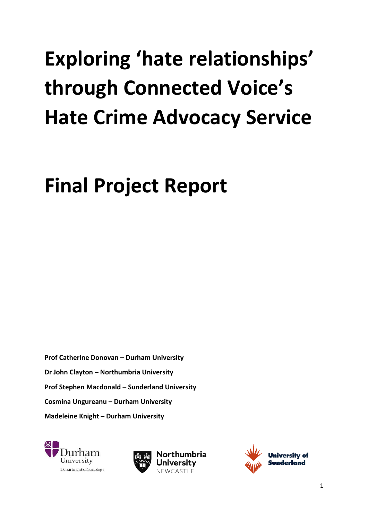# **Exploring 'hate relationships' through Connected Voice's Hate Crime Advocacy Service**

# **Final Project Report**

**Prof Catherine Donovan – Durham University Dr John Clayton – Northumbria University Prof Stephen Macdonald – Sunderland University Cosmina Ungureanu – Durham University Madeleine Knight – Durham University**





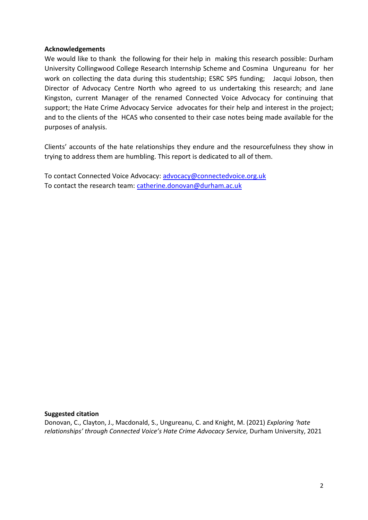#### **Acknowledgements**

We would like to thank the following for their help in making this research possible: Durham University Collingwood College Research Internship Scheme and Cosmina Ungureanu for her work on collecting the data during this studentship; ESRC SPS funding; Jacqui Jobson, then Director of Advocacy Centre North who agreed to us undertaking this research; and Jane Kingston, current Manager of the renamed Connected Voice Advocacy for continuing that support; the Hate Crime Advocacy Service advocates for their help and interest in the project; and to the clients of the HCAS who consented to their case notes being made available for the purposes of analysis.

Clients' accounts of the hate relationships they endure and the resourcefulness they show in trying to address them are humbling. This report is dedicated to all of them.

To contact Connected Voice Advocacy: [advocacy@connectedvoice.org.uk](mailto:advocacy@connectedvoice.org.uk) To contact the research team: [catherine.donovan@durham.ac.uk](mailto:catherine.donovan@durham.ac.uk)

#### **Suggested citation**

Donovan, C., Clayton, J., Macdonald, S., Ungureanu, C. and Knight, M. (2021) *Exploring 'hate relationships' through Connected Voice's Hate Crime Advocacy Service,* Durham University, 2021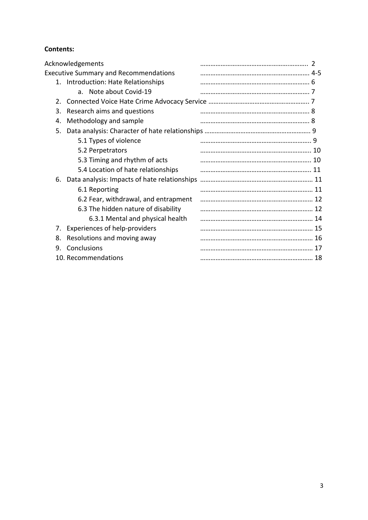# **Contents:**

|                                              | Acknowledgements                             |    |
|----------------------------------------------|----------------------------------------------|----|
| <b>Executive Summary and Recommendations</b> |                                              |    |
|                                              | 1. Introduction: Hate Relationships          |    |
|                                              | a. Note about Covid-19                       |    |
| 2.                                           |                                              |    |
| 3.                                           | Research aims and questions                  |    |
| 4.                                           | Methodology and sample                       |    |
| 5.                                           |                                              |    |
|                                              | 5.1 Types of violence                        |    |
|                                              | 5.2 Perpetrators                             |    |
|                                              | 5.3 Timing and rhythm of acts                |    |
|                                              | 5.4 Location of hate relationships           |    |
| 6.                                           | Data analysis: Impacts of hate relationships |    |
|                                              | 6.1 Reporting                                | 11 |
|                                              | 6.2 Fear, withdrawal, and entrapment         |    |
|                                              | 6.3 The hidden nature of disability          | 12 |
|                                              | 6.3.1 Mental and physical health             |    |
| 7.                                           | Experiences of help-providers                |    |
| 8.                                           | Resolutions and moving away                  |    |
| 9.                                           | Conclusions                                  |    |
|                                              | 10. Recommendations                          | 18 |
|                                              |                                              |    |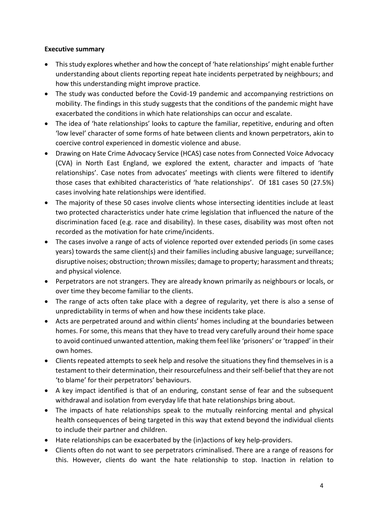#### **Executive summary**

- This study explores whether and how the concept of 'hate relationships' might enable further understanding about clients reporting repeat hate incidents perpetrated by neighbours; and how this understanding might improve practice.
- The study was conducted before the Covid-19 pandemic and accompanying restrictions on mobility. The findings in this study suggests that the conditions of the pandemic might have exacerbated the conditions in which hate relationships can occur and escalate.
- The idea of 'hate relationships' looks to capture the familiar, repetitive, enduring and often 'low level' character of some forms of hate between clients and known perpetrators, akin to coercive control experienced in domestic violence and abuse.
- Drawing on Hate Crime Advocacy Service (HCAS) case notes from Connected Voice Advocacy (CVA) in North East England, we explored the extent, character and impacts of 'hate relationships'. Case notes from advocates' meetings with clients were filtered to identify those cases that exhibited characteristics of 'hate relationships'. Of 181 cases 50 (27.5%) cases involving hate relationships were identified.
- The majority of these 50 cases involve clients whose intersecting identities include at least two protected characteristics under hate crime legislation that influenced the nature of the discrimination faced (e.g. race and disability). In these cases, disability was most often not recorded as the motivation for hate crime/incidents.
- The cases involve a range of acts of violence reported over extended periods (in some cases years) towards the same client(s) and their families including abusive language; surveillance; disruptive noises; obstruction; thrown missiles; damage to property; harassment and threats; and physical violence.
- Perpetrators are not strangers. They are already known primarily as neighbours or locals, or over time they become familiar to the clients.
- The range of acts often take place with a degree of regularity, yet there is also a sense of unpredictability in terms of when and how these incidents take place.
- Acts are perpetrated around and within clients' homes including at the boundaries between homes. For some, this means that they have to tread very carefully around their home space to avoid continued unwanted attention, making them feel like 'prisoners' or 'trapped' in their own homes.
- Clients repeated attempts to seek help and resolve the situations they find themselves in is a testament to their determination, their resourcefulness and their self-belief that they are not 'to blame' for their perpetrators' behaviours.
- A key impact identified is that of an enduring, constant sense of fear and the subsequent withdrawal and isolation from everyday life that hate relationships bring about.
- The impacts of hate relationships speak to the mutually reinforcing mental and physical health consequences of being targeted in this way that extend beyond the individual clients to include their partner and children.
- Hate relationships can be exacerbated by the (in)actions of key help-providers.
- Clients often do not want to see perpetrators criminalised. There are a range of reasons for this. However, clients do want the hate relationship to stop. Inaction in relation to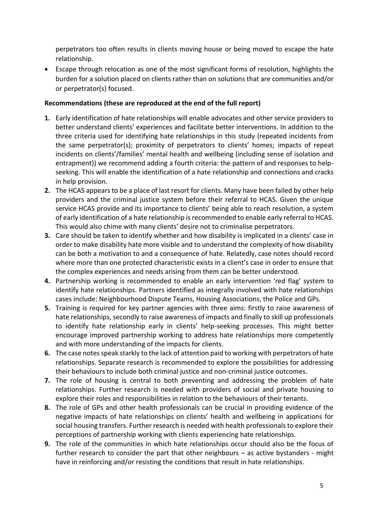perpetrators too often results in clients moving house or being moved to escape the hate relationship.

• Escape through relocation as one of the most significant forms of resolution, highlights the burden for a solution placed on clients rather than on solutions that are communities and/or or perpetrator(s) focused.

#### **Recommendations (these are reproduced at the end of the full report)**

- **1.** Early identification of hate relationships will enable advocates and other service providers to better understand clients' experiences and facilitate better interventions. In addition to the three criteria used for identifying hate relationships in this study (repeated incidents from the same perpetrator(s); proximity of perpetrators to clients' homes; impacts of repeat incidents on clients'/families' mental health and wellbeing (including sense of isolation and entrapment)) we recommend adding a fourth criteria: the pattern of and responses to helpseeking. This will enable the identification of a hate relationship and connections and cracks in help provision.
- **2.** The HCAS appears to be a place of last resort for clients. Many have been failed by other help providers and the criminal justice system before their referral to HCAS. Given the unique service HCAS provide and its importance to clients' being able to reach resolution, a system of early identification of a hate relationship is recommended to enable early referral to HCAS. This would also chime with many clients' desire not to criminalise perpetrators.
- **3.** Care should be taken to identify whether and how disability is implicated in a clients' case in order to make disability hate more visible and to understand the complexity of how disability can be both a motivation to and a consequence of hate. Relatedly, case notes should record where more than one protected characteristic exists in a client's case in order to ensure that the complex experiences and needs arising from them can be better understood.
- **4.** Partnership working is recommended to enable an early intervention 'red flag' system to identify hate relationships. Partners identified as integrally involved with hate relationships cases include: Neighbourhood Dispute Teams, Housing Associations, the Police and GPs.
- **5.** Training is required for key partner agencies with three aims: firstly to raise awareness of hate relationships, secondly to raise awareness of impacts and finally to skill up professionals to identify hate relationship early in clients' help-seeking processes. This might better encourage improved partnership working to address hate relationships more competently and with more understanding of the impacts for clients.
- **6.** The case notes speak starkly to the lack of attention paid to working with perpetrators of hate relationships. Separate research is recommended to explore the possibilities for addressing their behaviours to include both criminal justice and non-criminal justice outcomes.
- **7.** The role of housing is central to both preventing and addressing the problem of hate relationships. Further research is needed with providers of social and private housing to explore their roles and responsibilities in relation to the behaviours of their tenants.
- **8.** The role of GPs and other health professionals can be crucial in providing evidence of the negative impacts of hate relationships on clients' health and wellbeing in applications for social housing transfers. Further research is needed with health professionals to explore their perceptions of partnership working with clients experiencing hate relationships.
- **9.** The role of the communities in which hate relationships occur should also be the focus of further research to consider the part that other neighbours – as active bystanders - might have in reinforcing and/or resisting the conditions that result in hate relationships.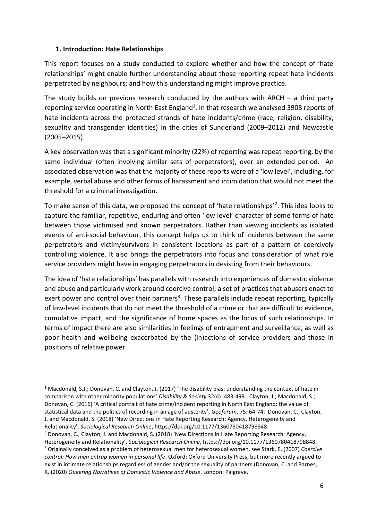#### **1. Introduction: Hate Relationships**

This report focuses on a study conducted to explore whether and how the concept of 'hate relationships' might enable further understanding about those reporting repeat hate incidents perpetrated by neighbours; and how this understanding might improve practice.

The study builds on previous research conducted by the authors with ARCH  $-$  a third party reporting service operating in North East England<sup>1</sup>. In that research we analysed 3908 reports of hate incidents across the protected strands of hate incidents/crime (race, religion, disability, sexuality and transgender identities) in the cities of Sunderland (2009–2012) and Newcastle (2005–2015).

A key observation was that a significant minority (22%) of reporting was repeat reporting, by the same individual (often involving similar sets of perpetrators), over an extended period. An associated observation was that the majority of these reports were of a 'low level', including, for example, verbal abuse and other forms of harassment and intimidation that would not meet the threshold for a criminal investigation.

To make sense of this data, we proposed the concept of 'hate relationships'<sup>2</sup>. This idea looks to capture the familiar, repetitive, enduring and often 'low level' character of some forms of hate between those victimised and known perpetrators. Rather than viewing incidents as isolated events of anti-social behaviour, this concept helps us to think of incidents between the same perpetrators and victim/survivors in consistent locations as part of a pattern of coercively controlling violence. It also brings the perpetrators into focus and consideration of what role service providers might have in engaging perpetrators in desisting from their behaviours.

The idea of 'hate relationships' has parallels with research into experiences of domestic violence and abuse and particularly work around coercive control; a set of practices that abusers enact to exert power and control over their partners<sup>3</sup>. These parallels include repeat reporting, typically of low-level incidents that do not meet the threshold of a crime or that are difficult to evidence, cumulative impact, and the significance of home spaces as the locus of such relationships. In terms of impact there are also similarities in feelings of entrapment and surveillance, as well as poor health and wellbeing exacerbated by the (in)actions of service providers and those in positions of relative power.

*control: How men entrap women in personal life*. Oxford: Oxford University Press, but more recently argued to exist in intimate relationships regardless of gender and/or the sexuality of partners (Donovan, C. and Barnes, R. (2020) *Queering Narratives of Domestic Violence and Abuse*. London: Palgrave.

<sup>&</sup>lt;sup>1</sup> Macdonald, S.J.; Donovan, C. and Clayton, J. (2017) 'The disability bias: understanding the context of hate in comparison with other minority populations' *Disability & Society* 32(4): 483-499.; Clayton, J.; Macdonald, S.; Donovan, C. (2016) 'A critical portrait of hate crime/incident reporting in North East England: the value of statistical data and the politics of recording in an age of austerity', *Geoforum*, 75: 64-74; Donovan, C., Clayton, J. and Macdonald, S. (2018) 'New Directions in Hate Reporting Research: Agency, Heterogeneity and Relationality', *Sociological Research Online*, https://doi.org/10.1177/1360780418798848.

<sup>2</sup> Donovan, C., Clayton, J. and Macdonald, S. (2018) 'New Directions in Hate Reporting Research: Agency, Heterogeneity and Relationality', *Sociological Research Online*, https://doi.org/10.1177/1360780418798848. <sup>3</sup> Originally conceived as a problem of heterosexual men for heterosexual women, see Stark, E. (2007) *Coercive*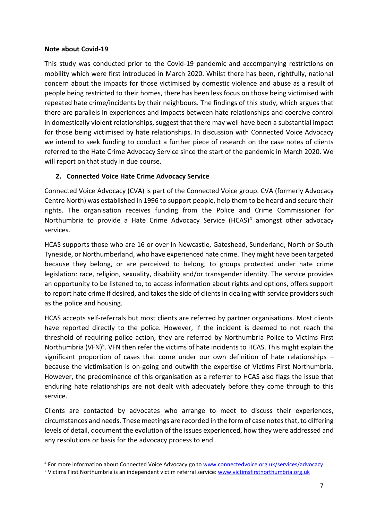#### **Note about Covid-19**

This study was conducted prior to the Covid-19 pandemic and accompanying restrictions on mobility which were first introduced in March 2020. Whilst there has been, rightfully, national concern about the impacts for those victimised by domestic violence and abuse as a result of people being restricted to their homes, there has been less focus on those being victimised with repeated hate crime/incidents by their neighbours. The findings of this study, which argues that there are parallels in experiences and impacts between hate relationships and coercive control in domestically violent relationships, suggest that there may well have been a substantial impact for those being victimised by hate relationships. In discussion with Connected Voice Advocacy we intend to seek funding to conduct a further piece of research on the case notes of clients referred to the Hate Crime Advocacy Service since the start of the pandemic in March 2020. We will report on that study in due course.

# **2. Connected Voice Hate Crime Advocacy Service**

Connected Voice Advocacy (CVA) is part of the Connected Voice group. CVA (formerly Advocacy Centre North) was established in 1996 to support people, help them to be heard and secure their rights. The organisation receives funding from the Police and Crime Commissioner for Northumbria to provide a Hate Crime Advocacy Service (HCAS)<sup>4</sup> amongst other advocacy services.

HCAS supports those who are 16 or over in Newcastle, Gateshead, Sunderland, North or South Tyneside, or Northumberland, who have experienced hate crime. They might have been targeted because they belong, or are perceived to belong, to groups protected under hate crime legislation: race, religion, sexuality, disability and/or transgender identity. The service provides an opportunity to be listened to, to access information about rights and options, offers support to report hate crime if desired, and takes the side of clients in dealing with service providers such as the police and housing.

HCAS accepts self-referrals but most clients are referred by partner organisations. Most clients have reported directly to the police. However, if the incident is deemed to not reach the threshold of requiring police action, they are referred by Northumbria Police to Victims First Northumbria (VFN)<sup>5</sup>. VFN then refer the victims of hate incidents to HCAS. This might explain the significant proportion of cases that come under our own definition of hate relationships – because the victimisation is on-going and outwith the expertise of Victims First Northumbria. However, the predominance of this organisation as a referrer to HCAS also flags the issue that enduring hate relationships are not dealt with adequately before they come through to this service.

Clients are contacted by advocates who arrange to meet to discuss their experiences, circumstances and needs. These meetings are recorded in the form of case notes that, to differing levels of detail, document the evolution of the issues experienced, how they were addressed and any resolutions or basis for the advocacy process to end.

<sup>&</sup>lt;sup>4</sup> For more information about Connected Voice Advocacy go to [www.connectedvoice.org.uk/services/advocacy](http://www.connectedvoice.org.uk/services/advocacy)

<sup>&</sup>lt;sup>5</sup> Victims First Northumbria is an independent victim referral service: [www.victimsfirstnorthumbria.org.uk](http://www.victimsfirstnorthumbria.org.uk/)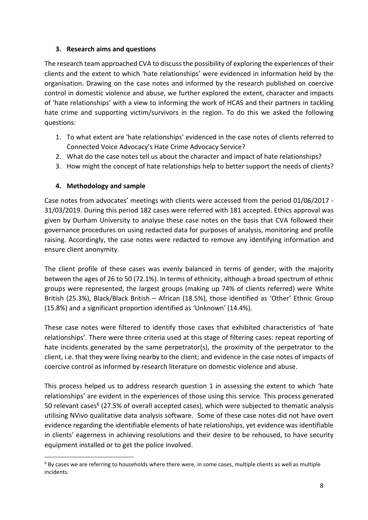# **3. Research aims and questions**

The research team approached CVA to discuss the possibility of exploring the experiences of their clients and the extent to which 'hate relationships' were evidenced in information held by the organisation. Drawing on the case notes and informed by the research published on coercive control in domestic violence and abuse, we further explored the extent, character and impacts of 'hate relationships' with a view to informing the work of HCAS and their partners in tackling hate crime and supporting victim/survivors in the region. To do this we asked the following questions:

- 1. To what extent are 'hate relationships' evidenced in the case notes of clients referred to Connected Voice Advocacy's Hate Crime Advocacy Service?
- 2. What do the case notes tell us about the character and impact of hate relationships?
- 3. How might the concept of hate relationships help to better support the needs of clients?

# **4. Methodology and sample**

Case notes from advocates' meetings with clients were accessed from the period 01/06/2017 - 31/03/2019. During this period 182 cases were referred with 181 accepted. Ethics approval was given by Durham University to analyse these case notes on the basis that CVA followed their governance procedures on using redacted data for purposes of analysis, monitoring and profile raising. Accordingly, the case notes were redacted to remove any identifying information and ensure client anonymity.

The client profile of these cases was evenly balanced in terms of gender, with the majority between the ages of 26 to 50 (72.1%). In terms of ethnicity, although a broad spectrum of ethnic groups were represented, the largest groups (making up 74% of clients referred) were White British (25.3%), Black/Black British – African (18.5%), those identified as 'Other' Ethnic Group (15.8%) and a significant proportion identified as 'Unknown' (14.4%).

These case notes were filtered to identify those cases that exhibited characteristics of 'hate relationships'. There were three criteria used at this stage of filtering cases: repeat reporting of hate incidents generated by the same perpetrator(s), the proximity of the perpetrator to the client, i.e. that they were living nearby to the client; and evidence in the case notes of impacts of coercive control as informed by research literature on domestic violence and abuse.

This process helped us to address research question 1 in assessing the extent to which 'hate relationships' are evident in the experiences of those using this service. This process generated 50 relevant cases<sup>6</sup> (27.5% of overall accepted cases), which were subjected to thematic analysis utilising NVivo qualitative data analysis software. Some of these case notes did not have overt evidence regarding the identifiable elements of hate relationships, yet evidence was identifiable in clients' eagerness in achieving resolutions and their desire to be rehoused, to have security equipment installed or to get the police involved.

 $6$  By cases we are referring to households where there were, in some cases, multiple clients as well as multiple incidents.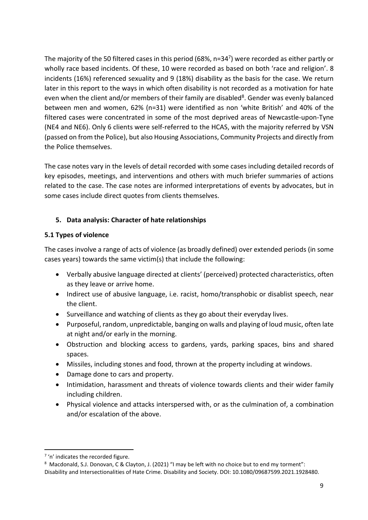The majority of the 50 filtered cases in this period (68%, n=34<sup>7</sup>) were recorded as either partly or wholly race based incidents. Of these, 10 were recorded as based on both 'race and religion'. 8 incidents (16%) referenced sexuality and 9 (18%) disability as the basis for the case. We return later in this report to the ways in which often disability is not recorded as a motivation for hate even when the client and/or members of their family are disabled<sup>8</sup>. Gender was evenly balanced between men and women, 62% (n=31) were identified as non 'white British' and 40% of the filtered cases were concentrated in some of the most deprived areas of Newcastle-upon-Tyne (NE4 and NE6). Only 6 clients were self-referred to the HCAS, with the majority referred by VSN (passed on from the Police), but also Housing Associations, Community Projects and directly from the Police themselves.

The case notes vary in the levels of detail recorded with some cases including detailed records of key episodes, meetings, and interventions and others with much briefer summaries of actions related to the case. The case notes are informed interpretations of events by advocates, but in some cases include direct quotes from clients themselves.

# **5. Data analysis: Character of hate relationships**

# **5.1 Types of violence**

The cases involve a range of acts of violence (as broadly defined) over extended periods (in some cases years) towards the same victim(s) that include the following:

- Verbally abusive language directed at clients' (perceived) protected characteristics, often as they leave or arrive home.
- Indirect use of abusive language, i.e. racist, homo/transphobic or disablist speech, near the client.
- Surveillance and watching of clients as they go about their everyday lives.
- Purposeful, random, unpredictable, banging on walls and playing of loud music, often late at night and/or early in the morning.
- Obstruction and blocking access to gardens, yards, parking spaces, bins and shared spaces.
- Missiles, including stones and food, thrown at the property including at windows.
- Damage done to cars and property.
- Intimidation, harassment and threats of violence towards clients and their wider family including children.
- Physical violence and attacks interspersed with, or as the culmination of, a combination and/or escalation of the above.

<sup>&</sup>lt;sup>7</sup> 'n' indicates the recorded figure.

<sup>8</sup> Macdonald, S.J. Donovan, C & Clayton, J. (2021) "I may be left with no choice but to end my torment": Disability and Intersectionalities of Hate Crime. Disability and Society. DOI: 10.1080/09687599.2021.1928480.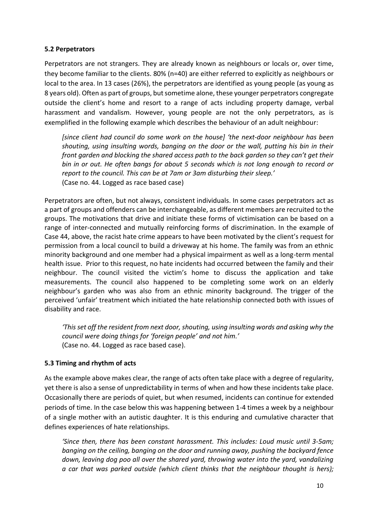#### **5.2 Perpetrators**

Perpetrators are not strangers. They are already known as neighbours or locals or, over time, they become familiar to the clients. 80% (n=40) are either referred to explicitly as neighbours or local to the area. In 13 cases (26%), the perpetrators are identified as young people (as young as 8 years old). Often as part of groups, but sometime alone, these younger perpetrators congregate outside the client's home and resort to a range of acts including property damage, verbal harassment and vandalism. However, young people are not the only perpetrators, as is exemplified in the following example which describes the behaviour of an adult neighbour:

*[since client had council do some work on the house] 'the next-door neighbour has been shouting, using insulting words, banging on the door or the wall, putting his bin in their front garden and blocking the shared access path to the back garden so they can't get their bin in or out. He often bangs for about 5 seconds which is not long enough to record or report to the council. This can be at 7am or 3am disturbing their sleep.'*  (Case no. 44. Logged as race based case)

Perpetrators are often, but not always, consistent individuals. In some cases perpetrators act as a part of groups and offenders can be interchangeable, as different members are recruited to the groups. The motivations that drive and initiate these forms of victimisation can be based on a range of inter-connected and mutually reinforcing forms of discrimination. In the example of Case 44, above, the racist hate crime appears to have been motivated by the client's request for permission from a local council to build a driveway at his home. The family was from an ethnic minority background and one member had a physical impairment as well as a long-term mental health issue. Prior to this request, no hate incidents had occurred between the family and their neighbour. The council visited the victim's home to discuss the application and take measurements. The council also happened to be completing some work on an elderly neighbour's garden who was also from an ethnic minority background. The trigger of the perceived 'unfair' treatment which initiated the hate relationship connected both with issues of disability and race.

*'This set off the resident from next door, shouting, using insulting words and asking why the council were doing things for 'foreign people' and not him.'* (Case no. 44. Logged as race based case).

#### **5.3 Timing and rhythm of acts**

As the example above makes clear, the range of acts often take place with a degree of regularity, yet there is also a sense of unpredictability in terms of when and how these incidents take place. Occasionally there are periods of quiet, but when resumed, incidents can continue for extended periods of time. In the case below this was happening between 1-4 times a week by a neighbour of a single mother with an autistic daughter. It is this enduring and cumulative character that defines experiences of hate relationships.

*'Since then, there has been constant harassment. This includes: Loud music until 3-5am; banging on the ceiling, banging on the door and running away, pushing the backyard fence down, leaving dog poo all over the shared yard, throwing water into the yard, vandalizing a car that was parked outside (which client thinks that the neighbour thought is hers);*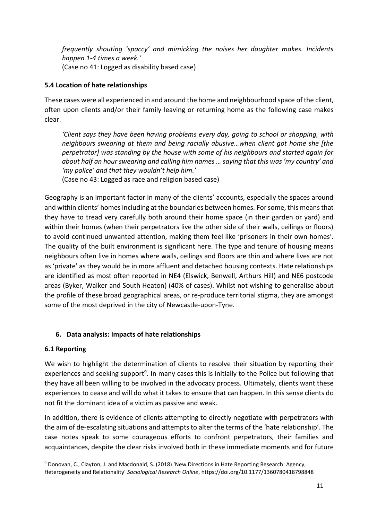*frequently shouting 'spaccy' and mimicking the noises her daughter makes. Incidents happen 1-4 times a week.'* (Case no 41: Logged as disability based case)

# **5.4 Location of hate relationships**

These cases were all experienced in and around the home and neighbourhood space of the client, often upon clients and/or their family leaving or returning home as the following case makes clear.

*'Client says they have been having problems every day, going to school or shopping, with neighbours swearing at them and being racially abusive…when client got home she [the perpetrator] was standing by the house with some of his neighbours and started again for about half an hour swearing and calling him names … saying that this was 'my country' and 'my police' and that they wouldn't help him.'*

(Case no 43: Logged as race and religion based case)

Geography is an important factor in many of the clients' accounts, especially the spaces around and within clients' homes including at the boundaries between homes. For some, this meansthat they have to tread very carefully both around their home space (in their garden or yard) and within their homes (when their perpetrators live the other side of their walls, ceilings or floors) to avoid continued unwanted attention, making them feel like 'prisoners in their own homes'. The quality of the built environment is significant here. The type and tenure of housing means neighbours often live in homes where walls, ceilings and floors are thin and where lives are not as 'private' as they would be in more affluent and detached housing contexts. Hate relationships are identified as most often reported in NE4 (Elswick, Benwell, Arthurs Hill) and NE6 postcode areas (Byker, Walker and South Heaton) (40% of cases). Whilst not wishing to generalise about the profile of these broad geographical areas, or re-produce territorial stigma, they are amongst some of the most deprived in the city of Newcastle-upon-Tyne.

# **6. Data analysis: Impacts of hate relationships**

#### **6.1 Reporting**

We wish to highlight the determination of clients to resolve their situation by reporting their experiences and seeking support<sup>9</sup>. In many cases this is initially to the Police but following that they have all been willing to be involved in the advocacy process. Ultimately, clients want these experiences to cease and will do what it takes to ensure that can happen. In this sense clients do not fit the dominant idea of a victim as passive and weak.

In addition, there is evidence of clients attempting to directly negotiate with perpetrators with the aim of de-escalating situations and attempts to alter the terms of the 'hate relationship'. The case notes speak to some courageous efforts to confront perpetrators, their families and acquaintances, despite the clear risks involved both in these immediate moments and for future

<sup>9</sup> Donovan, C., Clayton, J. and Macdonald, S. (2018) 'New Directions in Hate Reporting Research: Agency, Heterogeneity and Relationality' *Sociological Research Online*, https://doi.org/10.1177/1360780418798848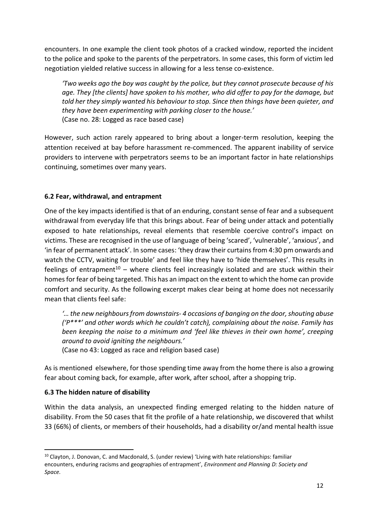encounters. In one example the client took photos of a cracked window, reported the incident to the police and spoke to the parents of the perpetrators. In some cases, this form of victim led negotiation yielded relative success in allowing for a less tense co-existence.

*'Two weeks ago the boy was caught by the police, but they cannot prosecute because of his age. They [the clients] have spoken to his mother, who did offer to pay for the damage, but told her they simply wanted his behaviour to stop. Since then things have been quieter, and they have been experimenting with parking closer to the house.'*  (Case no. 28: Logged as race based case)

However, such action rarely appeared to bring about a longer-term resolution, keeping the attention received at bay before harassment re-commenced. The apparent inability of service providers to intervene with perpetrators seems to be an important factor in hate relationships continuing, sometimes over many years.

# **6.2 Fear, withdrawal, and entrapment**

One of the key impacts identified is that of an enduring, constant sense of fear and a subsequent withdrawal from everyday life that this brings about. Fear of being under attack and potentially exposed to hate relationships, reveal elements that resemble coercive control's impact on victims. These are recognised in the use of language of being 'scared', 'vulnerable', 'anxious', and 'in fear of permanent attack'. In some cases: 'they draw their curtains from 4:30 pm onwards and watch the CCTV, waiting for trouble' and feel like they have to 'hide themselves'. This results in feelings of entrapment<sup>10</sup> – where clients feel increasingly isolated and are stuck within their homes for fear of being targeted. This has an impact on the extent to which the home can provide comfort and security. As the following excerpt makes clear being at home does not necessarily mean that clients feel safe:

*'… the new neighbours from downstairs- 4 occasions of banging on the door, shouting abuse ('P\*\*\*' and other words which he couldn't catch), complaining about the noise. Family has been keeping the noise to a minimum and 'feel like thieves in their own home', creeping around to avoid igniting the neighbours.'*

(Case no 43: Logged as race and religion based case)

As is mentioned elsewhere, for those spending time away from the home there is also a growing fear about coming back, for example, after work, after school, after a shopping trip.

#### **6.3 The hidden nature of disability**

Within the data analysis, an unexpected finding emerged relating to the hidden nature of disability. From the 50 cases that fit the profile of a hate relationship, we discovered that whilst 33 (66%) of clients, or members of their households, had a disability or/and mental health issue

<sup>&</sup>lt;sup>10</sup> Clayton, J. Donovan, C. and Macdonald, S. (under review) 'Living with hate relationships: familiar encounters, enduring racisms and geographies of entrapment', *Environment and Planning D: Society and Space.*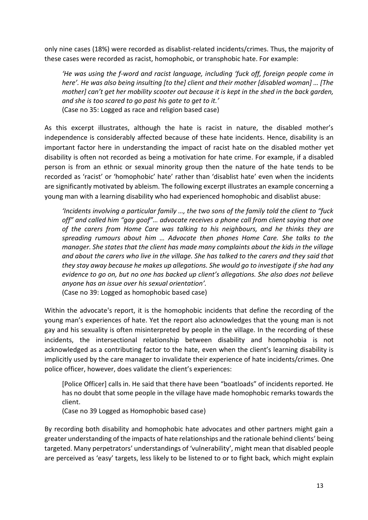only nine cases (18%) were recorded as disablist-related incidents/crimes. Thus, the majority of these cases were recorded as racist, homophobic, or transphobic hate. For example:

*'He was using the f-word and racist language, including 'fuck off, foreign people come in here'. He was also being insulting [to the] client and their mother [disabled woman] … [The mother] can't get her mobility scooter out because it is kept in the shed in the back garden, and she is too scared to go past his gate to get to it.'* (Case no 35: Logged as race and religion based case)

As this excerpt illustrates, although the hate is racist in nature, the disabled mother's independence is considerably affected because of these hate incidents. Hence, disability is an important factor here in understanding the impact of racist hate on the disabled mother yet disability is often not recorded as being a motivation for hate crime. For example, if a disabled person is from an ethnic or sexual minority group then the nature of the hate tends to be recorded as 'racist' or 'homophobic' hate' rather than 'disablist hate' even when the incidents are significantly motivated by ableism. The following excerpt illustrates an example concerning a young man with a learning disability who had experienced homophobic and disablist abuse:

*'Incidents involving a particular family …, the two sons of the family told the client to "fuck off" and called him "gay goof"… advocate receives a phone call from client saying that one of the carers from Home Care was talking to his neighbours, and he thinks they are spreading rumours about him … Advocate then phones Home Care. She talks to the manager. She states that the client has made many complaints about the kids in the village and about the carers who live in the village. She has talked to the carers and they said that they stay away because he makes up allegations. She would go to investigate if she had any evidence to go on, but no one has backed up client's allegations. She also does not believe anyone has an issue over his sexual orientation'.*

(Case no 39: Logged as homophobic based case)

Within the advocate's report, it is the homophobic incidents that define the recording of the young man's experiences of hate. Yet the report also acknowledges that the young man is not gay and his sexuality is often misinterpreted by people in the village. In the recording of these incidents, the intersectional relationship between disability and homophobia is not acknowledged as a contributing factor to the hate, even when the client's learning disability is implicitly used by the care manager to invalidate their experience of hate incidents/crimes. One police officer, however, does validate the client's experiences:

[Police Officer] calls in. He said that there have been "boatloads" of incidents reported. He has no doubt that some people in the village have made homophobic remarks towards the client.

(Case no 39 Logged as Homophobic based case)

By recording both disability and homophobic hate advocates and other partners might gain a greater understanding of the impacts of hate relationships and the rationale behind clients' being targeted. Many perpetrators' understandings of 'vulnerability', might mean that disabled people are perceived as 'easy' targets, less likely to be listened to or to fight back, which might explain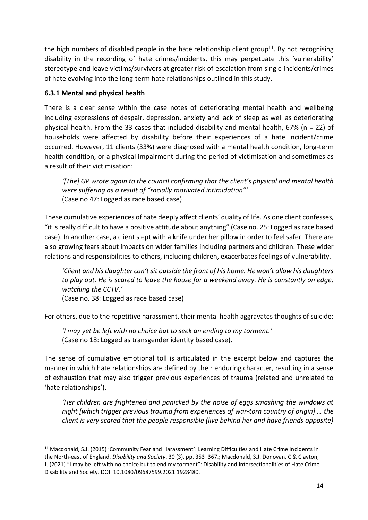the high numbers of disabled people in the hate relationship client group<sup>11</sup>. By not recognising disability in the recording of hate crimes/incidents, this may perpetuate this 'vulnerability' stereotype and leave victims/survivors at greater risk of escalation from single incidents/crimes of hate evolving into the long-term hate relationships outlined in this study.

# **6.3.1 Mental and physical health**

There is a clear sense within the case notes of deteriorating mental health and wellbeing including expressions of despair, depression, anxiety and lack of sleep as well as deteriorating physical health. From the 33 cases that included disability and mental health, 67% (n = 22) of households were affected by disability before their experiences of a hate incident/crime occurred. However, 11 clients (33%) were diagnosed with a mental health condition, long-term health condition, or a physical impairment during the period of victimisation and sometimes as a result of their victimisation:

*'[The] GP wrote again to the council confirming that the client's physical and mental health were suffering as a result of "racially motivated intimidation"'* (Case no 47: Logged as race based case)

These cumulative experiences of hate deeply affect clients' quality of life. As one client confesses, "it is really difficult to have a positive attitude about anything" (Case no. 25: Logged as race based case). In another case, a client slept with a knife under her pillow in order to feel safer. There are also growing fears about impacts on wider families including partners and children. These wider relations and responsibilities to others, including children, exacerbates feelings of vulnerability.

'Client and his daughter can't sit outside the front of his home. He won't allow his daughters *to play out. He is scared to leave the house for a weekend away. He is constantly on edge, watching the CCTV.'* (Case no. 38: Logged as race based case)

For others, due to the repetitive harassment, their mental health aggravates thoughts of suicide:

*'I may yet be left with no choice but to seek an ending to my torment.'* (Case no 18: Logged as transgender identity based case).

The sense of cumulative emotional toll is articulated in the excerpt below and captures the manner in which hate relationships are defined by their enduring character, resulting in a sense of exhaustion that may also trigger previous experiences of trauma (related and unrelated to 'hate relationships').

*'Her children are frightened and panicked by the noise of eggs smashing the windows at night [which trigger previous trauma from experiences of war-torn country of origin] … the client is very scared that the people responsible (live behind her and have friends opposite)* 

<sup>11</sup> Macdonald, S.J. (2015) 'Community Fear and Harassment': Learning Difficulties and Hate Crime Incidents in the North-east of England. *Disability and Society*. 30 (3), pp. 353–367.; Macdonald, S.J. Donovan, C & Clayton, J. (2021) "I may be left with no choice but to end my torment": Disability and Intersectionalities of Hate Crime. Disability and Society. DOI: 10.1080/09687599.2021.1928480.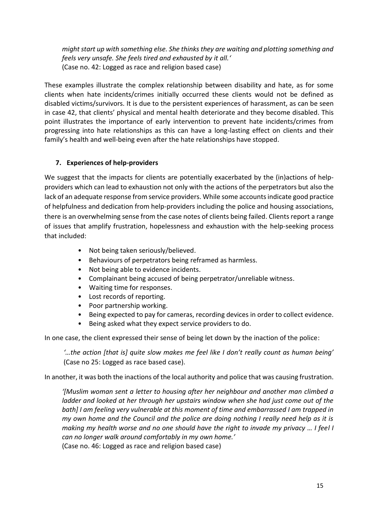*might start up with something else. She thinks they are waiting and plotting something and feels very unsafe. She feels tired and exhausted by it all.'* (Case no. 42: Logged as race and religion based case)

These examples illustrate the complex relationship between disability and hate, as for some clients when hate incidents/crimes initially occurred these clients would not be defined as disabled victims/survivors. It is due to the persistent experiences of harassment, as can be seen in case 42, that clients' physical and mental health deteriorate and they become disabled. This point illustrates the importance of early intervention to prevent hate incidents/crimes from progressing into hate relationships as this can have a long-lasting effect on clients and their family's health and well-being even after the hate relationships have stopped.

# **7. Experiences of help-providers**

We suggest that the impacts for clients are potentially exacerbated by the (in)actions of helpproviders which can lead to exhaustion not only with the actions of the perpetrators but also the lack of an adequate response from service providers. While some accounts indicate good practice of helpfulness and dedication from help-providers including the police and housing associations, there is an overwhelming sense from the case notes of clients being failed. Clients report a range of issues that amplify frustration, hopelessness and exhaustion with the help-seeking process that included:

- Not being taken seriously/believed.
- Behaviours of perpetrators being reframed as harmless.
- Not being able to evidence incidents.
- Complainant being accused of being perpetrator/unreliable witness.
- Waiting time for responses.
- Lost records of reporting.
- Poor partnership working.
- Being expected to pay for cameras, recording devices in order to collect evidence.
- Being asked what they expect service providers to do.

In one case, the client expressed their sense of being let down by the inaction of the police:

*'…the action [that is] quite slow makes me feel like I don't really count as human being'* (Case no 25: Logged as race based case).

In another, it was both the inactions of the local authority and police that was causing frustration.

*'[Muslim woman sent a letter to housing after her neighbour and another man climbed a ladder and looked at her through her upstairs window when she had just come out of the bath] I am feeling very vulnerable at this moment of time and embarrassed I am trapped in my own home and the Council and the police are doing nothing I really need help as it is making my health worse and no one should have the right to invade my privacy … I feel I can no longer walk around comfortably in my own home.'*

(Case no. 46: Logged as race and religion based case)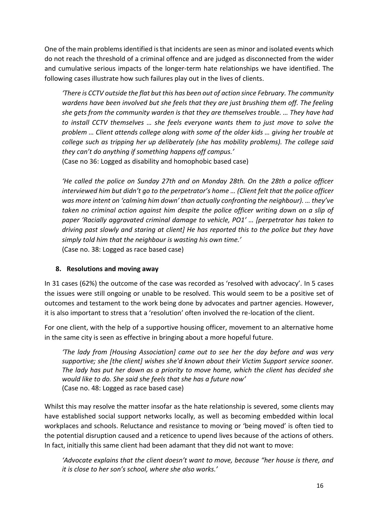One of the main problems identified is that incidents are seen as minor and isolated events which do not reach the threshold of a criminal offence and are judged as disconnected from the wider and cumulative serious impacts of the longer-term hate relationships we have identified. The following cases illustrate how such failures play out in the lives of clients.

*'There is CCTV outside the flat but this has been out of action since February. The community wardens have been involved but she feels that they are just brushing them off. The feeling she gets from the community warden is that they are themselves trouble. … They have had to install CCTV themselves … she feels everyone wants them to just move to solve the problem … Client attends college along with some of the older kids … giving her trouble at college such as tripping her up deliberately (she has mobility problems). The college said they can't do anything if something happens off campus.'* (Case no 36: Logged as disability and homophobic based case)

*'He called the police on Sunday 27th and on Monday 28th. On the 28th a police officer interviewed him but didn't go to the perpetrator's home … (Client felt that the police officer was more intent on 'calming him down' than actually confronting the neighbour). … they've taken no criminal action against him despite the police officer writing down on a slip of paper 'Racially aggravated criminal damage to vehicle, PO1' … [perpetrator has taken to driving past slowly and staring at client] He has reported this to the police but they have simply told him that the neighbour is wasting his own time.'* (Case no. 38: Logged as race based case)

# **8. Resolutions and moving away**

In 31 cases (62%) the outcome of the case was recorded as 'resolved with advocacy'. In 5 cases the issues were still ongoing or unable to be resolved. This would seem to be a positive set of outcomes and testament to the work being done by advocates and partner agencies. However, it is also important to stress that a 'resolution' often involved the re-location of the client.

For one client, with the help of a supportive housing officer, movement to an alternative home in the same city is seen as effective in bringing about a more hopeful future.

*'The lady from [Housing Association] came out to see her the day before and was very supportive; she [the client] wishes she'd known about their Victim Support service sooner. The lady has put her down as a priority to move home, which the client has decided she would like to do. She said she feels that she has a future now'* (Case no. 48: Logged as race based case)

Whilst this may resolve the matter insofar as the hate relationship is severed, some clients may have established social support networks locally, as well as becoming embedded within local workplaces and schools. Reluctance and resistance to moving or 'being moved' is often tied to the potential disruption caused and a reticence to upend lives because of the actions of others. In fact, initially this same client had been adamant that they did not want to move:

*'Advocate explains that the client doesn't want to move, because "her house is there, and it is close to her son's school, where she also works.'*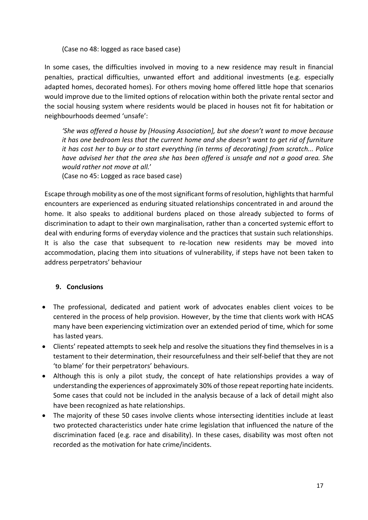(Case no 48: logged as race based case)

In some cases, the difficulties involved in moving to a new residence may result in financial penalties, practical difficulties, unwanted effort and additional investments (e.g. especially adapted homes, decorated homes). For others moving home offered little hope that scenarios would improve due to the limited options of relocation within both the private rental sector and the social housing system where residents would be placed in houses not fit for habitation or neighbourhoods deemed 'unsafe':

*'She was offered a house by [Housing Association], but she doesn't want to move because it has one bedroom less that the current home and she doesn't want to get rid of furniture it has cost her to buy or to start everything (in terms of decorating) from scratch... Police have advised her that the area she has been offered is unsafe and not a good area. She would rather not move at all.*'

(Case no 45: Logged as race based case)

Escape through mobility as one of the most significant forms of resolution, highlights that harmful encounters are experienced as enduring situated relationships concentrated in and around the home. It also speaks to additional burdens placed on those already subjected to forms of discrimination to adapt to their own marginalisation, rather than a concerted systemic effort to deal with enduring forms of everyday violence and the practices that sustain such relationships. It is also the case that subsequent to re-location new residents may be moved into accommodation, placing them into situations of vulnerability, if steps have not been taken to address perpetrators' behaviour

#### **9. Conclusions**

- The professional, dedicated and patient work of advocates enables client voices to be centered in the process of help provision. However, by the time that clients work with HCAS many have been experiencing victimization over an extended period of time, which for some has lasted years.
- Clients' repeated attempts to seek help and resolve the situations they find themselves in is a testament to their determination, their resourcefulness and their self-belief that they are not 'to blame' for their perpetrators' behaviours.
- Although this is only a pilot study, the concept of hate relationships provides a way of understanding the experiences of approximately 30% of those repeat reporting hate incidents. Some cases that could not be included in the analysis because of a lack of detail might also have been recognized as hate relationships.
- The majority of these 50 cases involve clients whose intersecting identities include at least two protected characteristics under hate crime legislation that influenced the nature of the discrimination faced (e.g. race and disability). In these cases, disability was most often not recorded as the motivation for hate crime/incidents.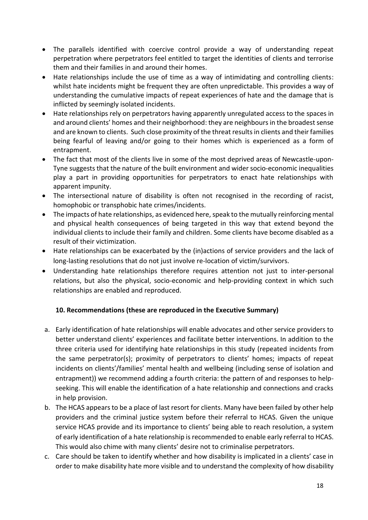- The parallels identified with coercive control provide a way of understanding repeat perpetration where perpetrators feel entitled to target the identities of clients and terrorise them and their families in and around their homes.
- Hate relationships include the use of time as a way of intimidating and controlling clients: whilst hate incidents might be frequent they are often unpredictable. This provides a way of understanding the cumulative impacts of repeat experiences of hate and the damage that is inflicted by seemingly isolated incidents.
- Hate relationships rely on perpetrators having apparently unregulated access to the spaces in and around clients' homes and their neighborhood: they are neighboursin the broadest sense and are known to clients. Such close proximity of the threat resultsin clients and their families being fearful of leaving and/or going to their homes which is experienced as a form of entrapment.
- The fact that most of the clients live in some of the most deprived areas of Newcastle-upon-Tyne suggests that the nature of the built environment and wider socio-economic inequalities play a part in providing opportunities for perpetrators to enact hate relationships with apparent impunity.
- The intersectional nature of disability is often not recognised in the recording of racist, homophobic or transphobic hate crimes/incidents.
- The impacts of hate relationships, as evidenced here, speak to the mutually reinforcing mental and physical health consequences of being targeted in this way that extend beyond the individual clients to include their family and children. Some clients have become disabled as a result of their victimization.
- Hate relationships can be exacerbated by the (in)actions of service providers and the lack of long-lasting resolutions that do not just involve re-location of victim/survivors.
- Understanding hate relationships therefore requires attention not just to inter-personal relations, but also the physical, socio-economic and help-providing context in which such relationships are enabled and reproduced.

# **10. Recommendations (these are reproduced in the Executive Summary)**

- a. Early identification of hate relationships will enable advocates and other service providers to better understand clients' experiences and facilitate better interventions. In addition to the three criteria used for identifying hate relationships in this study (repeated incidents from the same perpetrator(s); proximity of perpetrators to clients' homes; impacts of repeat incidents on clients'/families' mental health and wellbeing (including sense of isolation and entrapment)) we recommend adding a fourth criteria: the pattern of and responses to helpseeking. This will enable the identification of a hate relationship and connections and cracks in help provision.
- b. The HCAS appears to be a place of last resort for clients. Many have been failed by other help providers and the criminal justice system before their referral to HCAS. Given the unique service HCAS provide and its importance to clients' being able to reach resolution, a system of early identification of a hate relationship is recommended to enable early referral to HCAS. This would also chime with many clients' desire not to criminalise perpetrators.
- c. Care should be taken to identify whether and how disability is implicated in a clients' case in order to make disability hate more visible and to understand the complexity of how disability